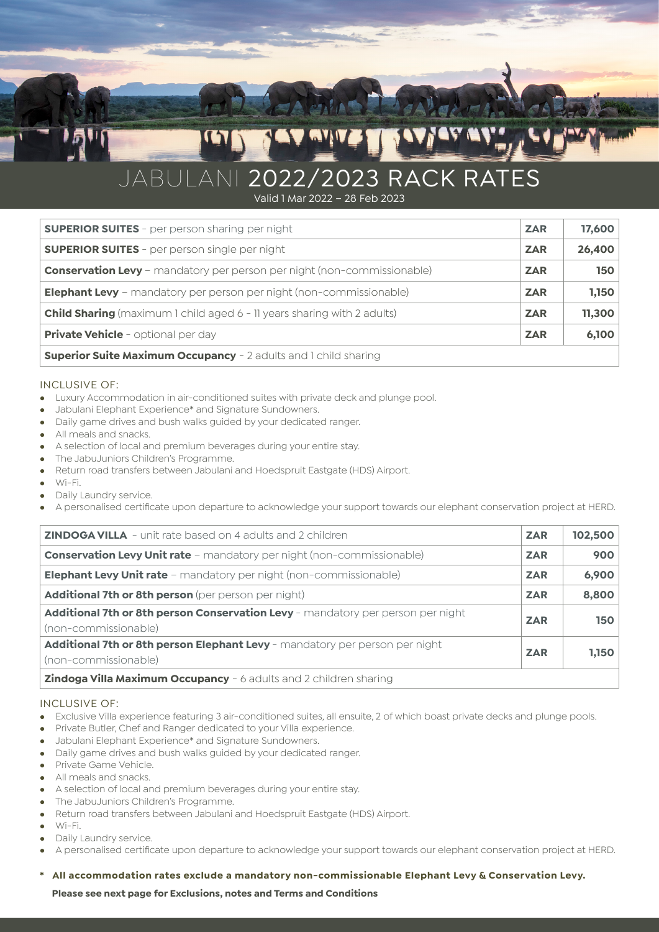# JABULANI 2022/2023 RACK RATES

Valid 1 Mar 2022 – 28 Feb 2023

| <b>SUPERIOR SUITES</b> - per person sharing per night                          | <b>ZAR</b> | 17,600 |
|--------------------------------------------------------------------------------|------------|--------|
| <b>SUPERIOR SUITES</b> - per person single per night                           | <b>ZAR</b> | 26,400 |
| <b>Conservation Levy</b> - mandatory per person per night (non-commissionable) | <b>ZAR</b> | 150    |
| <b>Elephant Levy</b> - mandatory per person per night (non-commissionable)     | <b>ZAR</b> | 1,150  |
| <b>Child Sharing</b> (maximum 1 child aged 6 - 11 years sharing with 2 adults) | <b>ZAR</b> | 11,300 |
| <b>Private Vehicle</b> - optional per day                                      | <b>ZAR</b> | 6,100  |
| <b>Superior Suite Maximum Occupancy</b> - 2 adults and 1 child sharing         |            |        |

### INCLUSIVE OF:

- <sup>l</sup> Luxury Accommodation in air-conditioned suites with private deck and plunge pool.
- <sup>l</sup> Jabulani Elephant Experience\* and Signature Sundowners.
- Daily game drives and bush walks guided by your dedicated ranger.
- All meals and snacks.
- A selection of local and premium beverages during your entire stay.
- The JabuJuniors Children's Programme.
- <sup>l</sup> Return road transfers between Jabulani and Hoedspruit Eastgate (HDS) Airport.
- $M_i-F_i$
- Daily Laundry service.
- <sup>l</sup> A personalised certificate upon departure to acknowledge your support towards our elephant conservation project at HERD.

| <b>ZINDOGA VILLA</b> - unit rate based on 4 adults and 2 children                                       | <b>ZAR</b> | 102,500    |
|---------------------------------------------------------------------------------------------------------|------------|------------|
| <b>Conservation Levy Unit rate</b> - mandatory per night (non-commissionable)                           | <b>ZAR</b> | 900        |
| <b>Elephant Levy Unit rate</b> - mandatory per night (non-commissionable)                               | <b>ZAR</b> | 6,900      |
| Additional 7th or 8th person (per person per night)                                                     | <b>ZAR</b> | 8,800      |
| Additional 7th or 8th person Conservation Levy - mandatory per person per night<br>(non-commissionable) | <b>ZAR</b> | <b>150</b> |
| Additional 7th or 8th person Elephant Levy - mandatory per person per night<br>(non-commissionable)     | <b>ZAR</b> | 1,150      |
| <b>Zindoga Villa Maximum Occupancy</b> - 6 adults and 2 children sharing                                |            |            |

# INCLUSIVE OF:

- Exclusive Villa experience featuring 3 air-conditioned suites, all ensuite, 2 of which boast private decks and plunge pools.
- Private Butler, Chef and Ranger dedicated to your Villa experience.
- <sup>l</sup> Jabulani Elephant Experience\* and Signature Sundowners.
- Daily game drives and bush walks guided by your dedicated ranger.
- Private Game Vehicle.
- All meals and snacks.
- A selection of local and premium beverages during your entire stay.
- The JabuJuniors Children's Programme.
- <sup>l</sup> Return road transfers between Jabulani and Hoedspruit Eastgate (HDS) Airport.
- <sup>l</sup> Wi-Fi.
- Daily Laundry service.
- <sup>l</sup> A personalised certificate upon departure to acknowledge your support towards our elephant conservation project at HERD.

**\* All accommodation rates exclude a mandatory non-commissionable Elephant Levy & Conservation Levy.**

**Please see next page for Exclusions, notes and Terms and Conditions**